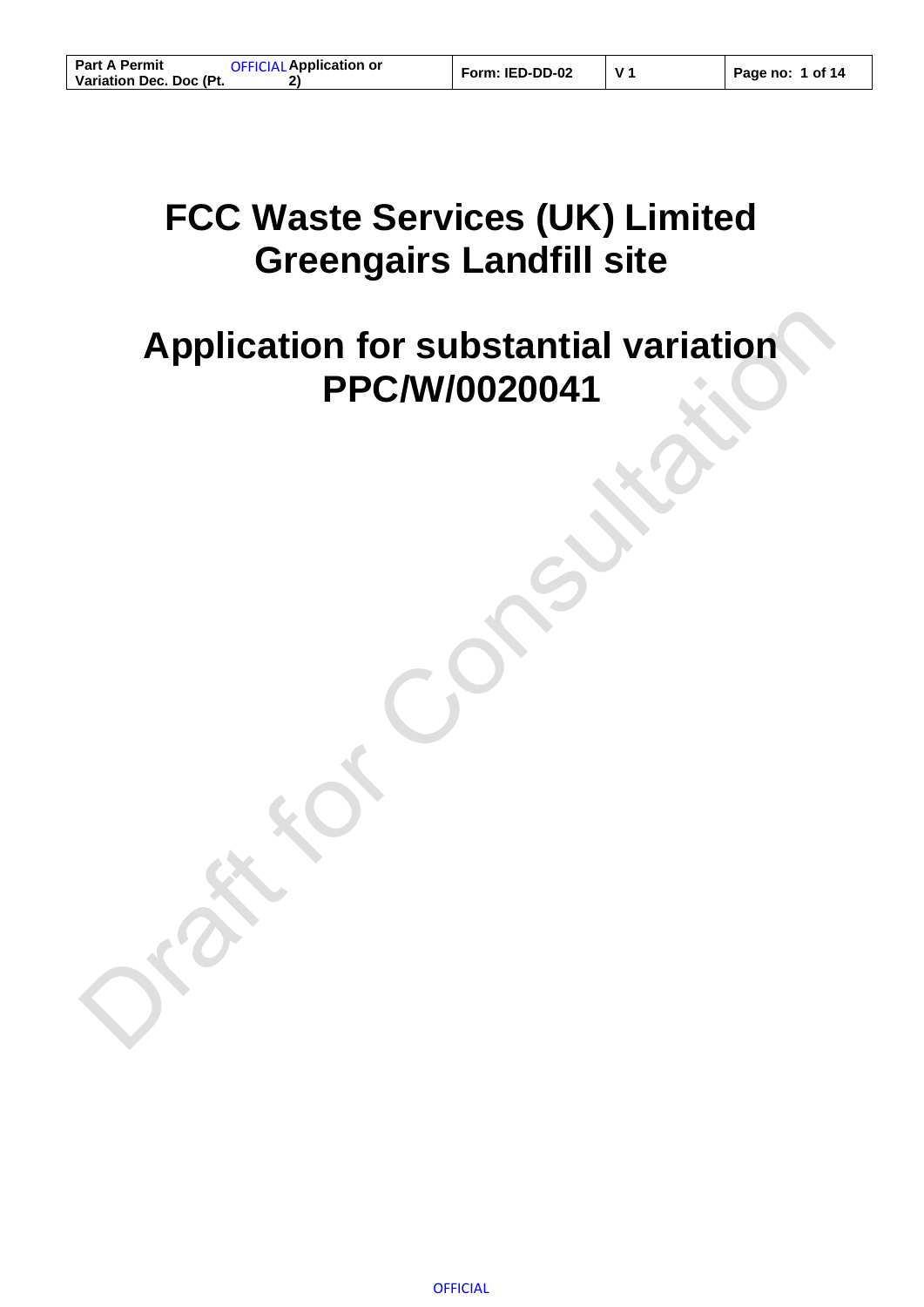# **FCC Waste Services (UK) Limited Greengairs Landfill site**

# **Application for substantial variation PPC/W/0020041**

**OFFICIAL**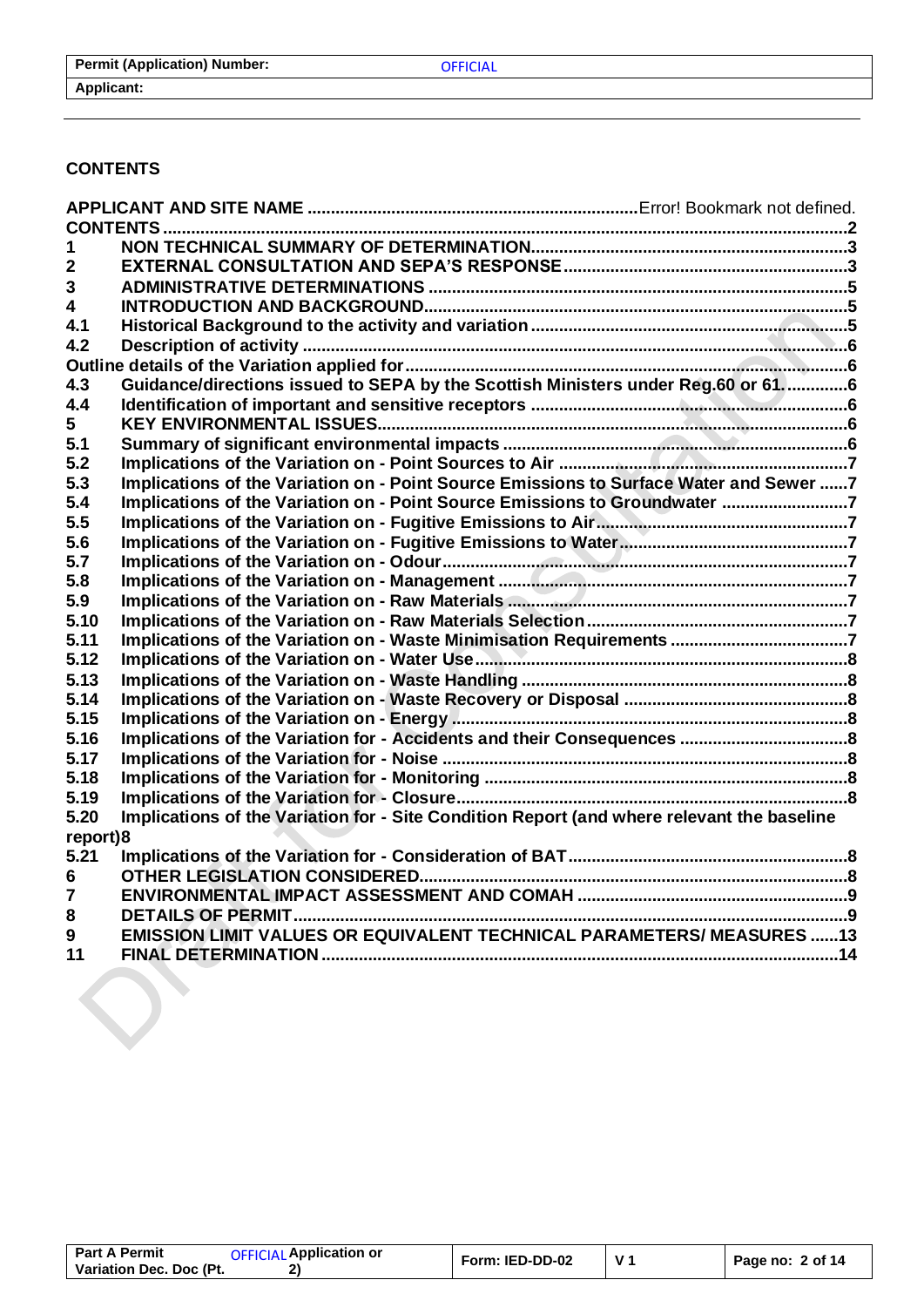# <span id="page-1-0"></span>**CONTENTS**

| $\mathbf{2}$            |                                                                                            |  |
|-------------------------|--------------------------------------------------------------------------------------------|--|
| 3                       |                                                                                            |  |
| $\overline{\mathbf{4}}$ |                                                                                            |  |
| 4.1                     |                                                                                            |  |
| 4.2                     |                                                                                            |  |
|                         |                                                                                            |  |
| 4.3                     | Guidance/directions issued to SEPA by the Scottish Ministers under Reg.60 or 616           |  |
| 4.4                     |                                                                                            |  |
| 5                       |                                                                                            |  |
| 5.1                     |                                                                                            |  |
| 5.2                     |                                                                                            |  |
| 5.3                     | Implications of the Variation on - Point Source Emissions to Surface Water and Sewer 7     |  |
| 5.4                     | Implications of the Variation on - Point Source Emissions to Groundwater 7                 |  |
| 5.5                     |                                                                                            |  |
| 5.6                     |                                                                                            |  |
| 5.7                     |                                                                                            |  |
| 5.8                     |                                                                                            |  |
| 5.9                     |                                                                                            |  |
| 5.10                    |                                                                                            |  |
| 5.11                    |                                                                                            |  |
| 5.12                    |                                                                                            |  |
| 5.13                    |                                                                                            |  |
| 5.14                    |                                                                                            |  |
| 5.15                    |                                                                                            |  |
| 5.16                    |                                                                                            |  |
| 5.17                    |                                                                                            |  |
| 5.18                    |                                                                                            |  |
| 5.19                    |                                                                                            |  |
| 5.20                    | Implications of the Variation for - Site Condition Report (and where relevant the baseline |  |
| report)8                |                                                                                            |  |
| 5.21                    |                                                                                            |  |
| 6                       |                                                                                            |  |
| 7                       |                                                                                            |  |
| 8                       |                                                                                            |  |
| 9                       | <b>EMISSION LIMIT VALUES OR EQUIVALENT TECHNICAL PARAMETERS/ MEASURES 13</b>               |  |
| 11                      |                                                                                            |  |
|                         |                                                                                            |  |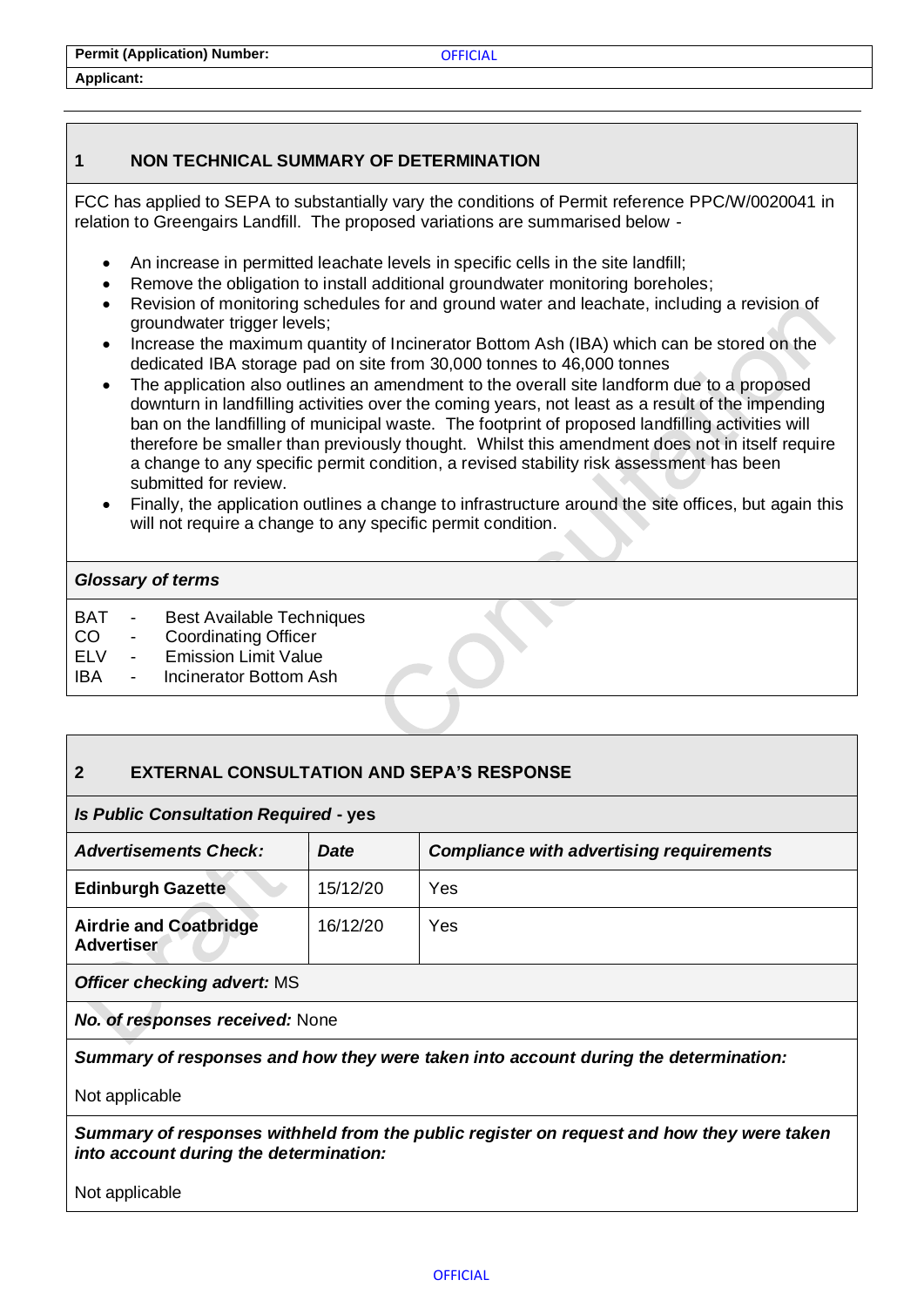**Applicant:** 

# <span id="page-2-0"></span>**1 NON TECHNICAL SUMMARY OF DETERMINATION**

FCC has applied to SEPA to substantially vary the conditions of Permit reference PPC/W/0020041 in relation to Greengairs Landfill. The proposed variations are summarised below -

- An increase in permitted leachate levels in specific cells in the site landfill;
- Remove the obligation to install additional groundwater monitoring boreholes;
- Revision of monitoring schedules for and ground water and leachate, including a revision of groundwater trigger levels;
- Increase the maximum quantity of Incinerator Bottom Ash (IBA) which can be stored on the dedicated IBA storage pad on site from 30,000 tonnes to 46,000 tonnes
- The application also outlines an amendment to the overall site landform due to a proposed downturn in landfilling activities over the coming years, not least as a result of the impending ban on the landfilling of municipal waste. The footprint of proposed landfilling activities will therefore be smaller than previously thought. Whilst this amendment does not in itself require a change to any specific permit condition, a revised stability risk assessment has been submitted for review.
- Finally, the application outlines a change to infrastructure around the site offices, but again this will not require a change to any specific permit condition.

## *Glossary of terms*

- BAT Best Available Techniques
- CO Coordinating Officer
- ELV Emission Limit Value
- IBA Incinerator Bottom Ash

# <span id="page-2-1"></span>**2 EXTERNAL CONSULTATION AND SEPA'S RESPONSE**

#### *Is Public Consultation Required* **- yes**

| <b>Advertisements Check:</b>                                                               | <b>Date</b> | <b>Compliance with advertising requirements</b> |  |  |
|--------------------------------------------------------------------------------------------|-------------|-------------------------------------------------|--|--|
| <b>Edinburgh Gazette</b>                                                                   | 15/12/20    | Yes                                             |  |  |
| <b>Airdrie and Coatbridge</b><br><b>Advertiser</b>                                         | 16/12/20    | Yes                                             |  |  |
| $\bigcap$ ffice $\bigcup_{n=1}^{\infty}$ contains the solution of $\bigcap_{n=1}^{\infty}$ |             |                                                 |  |  |

*Officer checking advert:* MS

*No. of responses received:* None

*Summary of responses and how they were taken into account during the determination:*

Not applicable

*Summary of responses withheld from the public register on request and how they were taken into account during the determination:*

Not applicable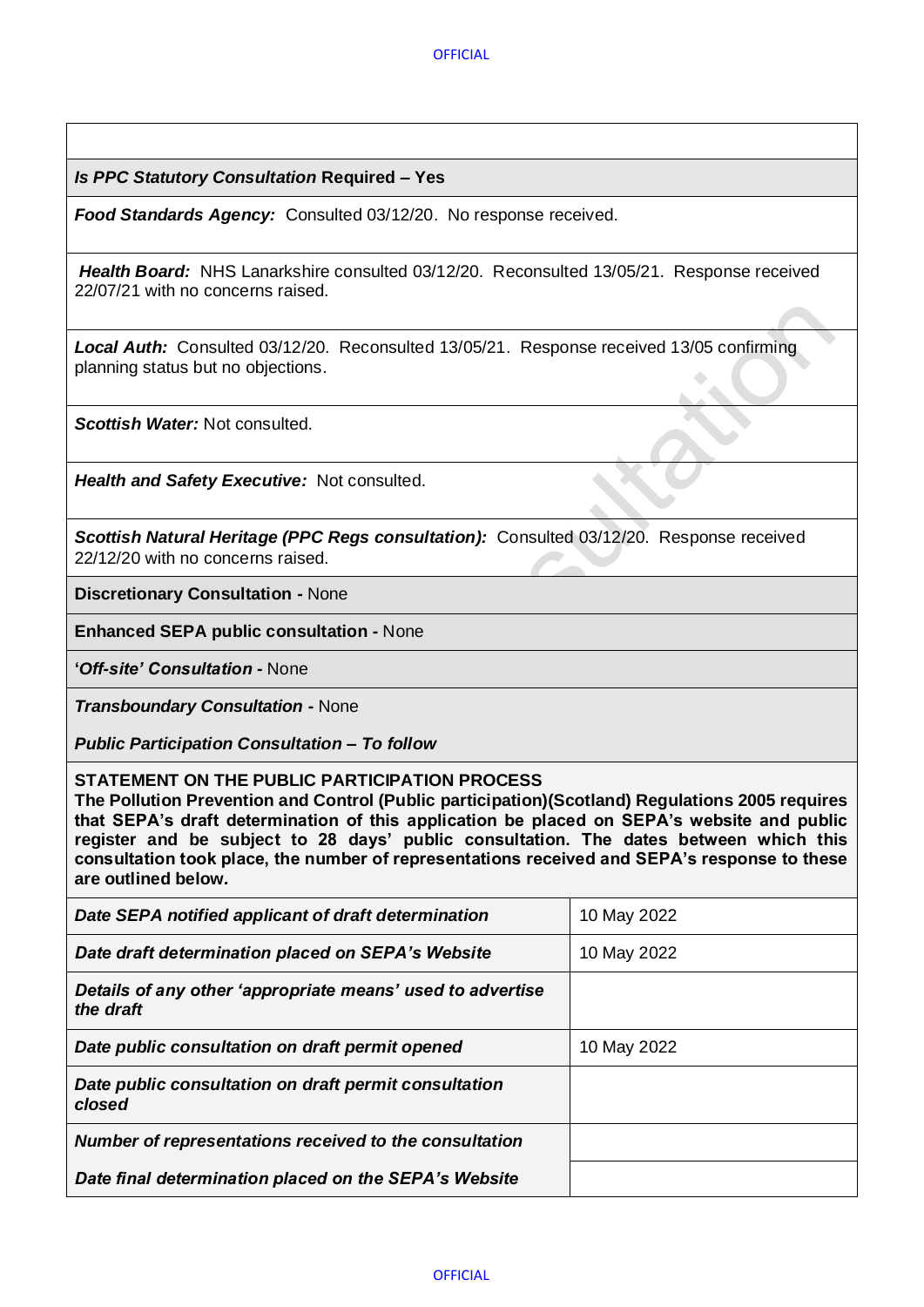#### *Is PPC Statutory Consultation* **Required – Yes**

*Food Standards Agency:* Consulted 03/12/20. No response received.

*Health Board:* NHS Lanarkshire consulted 03/12/20. Reconsulted 13/05/21. Response received 22/07/21 with no concerns raised.

*Local Auth:* Consulted 03/12/20. Reconsulted 13/05/21. Response received 13/05 confirming planning status but no objections.

*Scottish Water:* Not consulted.

*Health and Safety Executive:* Not consulted.

*Scottish Natural Heritage (PPC Regs consultation):* Consulted 03/12/20. Response received 22/12/20 with no concerns raised.

**Discretionary Consultation -** None

**Enhanced SEPA public consultation -** None

**'***Off-site' Consultation* **-** None

*Transboundary Consultation* **-** None

*Public Participation Consultation – To follow*

#### **STATEMENT ON THE PUBLIC PARTICIPATION PROCESS**

**The Pollution Prevention and Control (Public participation)(Scotland) Regulations 2005 requires that SEPA's draft determination of this application be placed on SEPA's website and public register and be subject to 28 days' public consultation. The dates between which this consultation took place, the number of representations received and SEPA's response to these are outlined below***.* 

| Date SEPA notified applicant of draft determination                     | 10 May 2022 |
|-------------------------------------------------------------------------|-------------|
| Date draft determination placed on SEPA's Website                       | 10 May 2022 |
| Details of any other 'appropriate means' used to advertise<br>the draft |             |
| Date public consultation on draft permit opened                         | 10 May 2022 |
| Date public consultation on draft permit consultation<br>closed         |             |
| Number of representations received to the consultation                  |             |
| Date final determination placed on the SEPA's Website                   |             |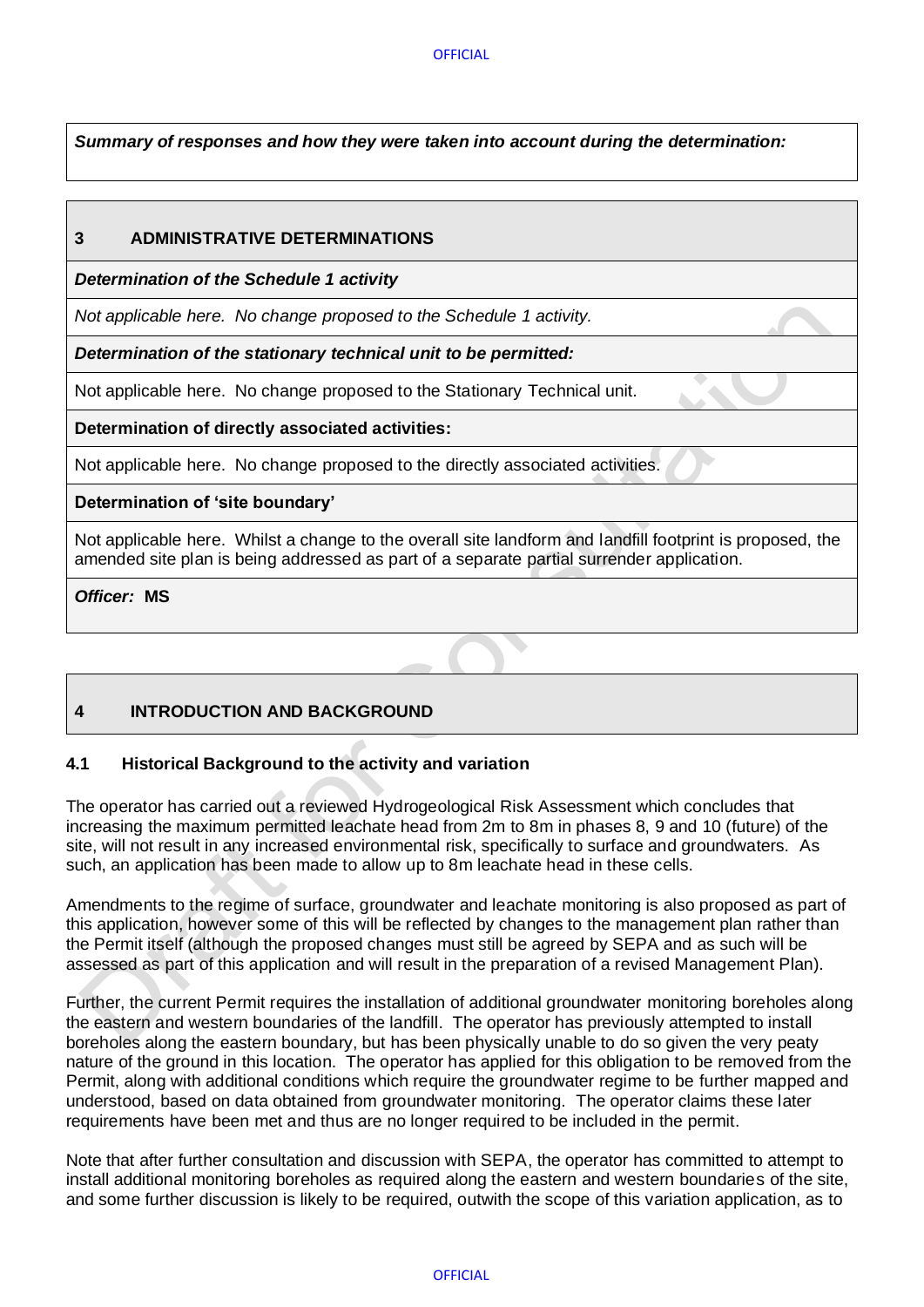*Summary of responses and how they were taken into account during the determination:*

# <span id="page-4-0"></span>**3 ADMINISTRATIVE DETERMINATIONS**

*Determination of the Schedule 1 activity* 

*Not applicable here. No change proposed to the Schedule 1 activity.*

*Determination of the stationary technical unit to be permitted:* 

Not applicable here. No change proposed to the Stationary Technical unit.

## **Determination of directly associated activities:**

Not applicable here. No change proposed to the directly associated activities.

## **Determination of 'site boundary'**

Not applicable here. Whilst a change to the overall site landform and landfill footprint is proposed, the amended site plan is being addressed as part of a separate partial surrender application.

*Officer:* **MS**

# <span id="page-4-1"></span>**4 INTRODUCTION AND BACKGROUND**

# <span id="page-4-2"></span>**4.1 Historical Background to the activity and variation**

The operator has carried out a reviewed Hydrogeological Risk Assessment which concludes that increasing the maximum permitted leachate head from 2m to 8m in phases 8, 9 and 10 (future) of the site, will not result in any increased environmental risk, specifically to surface and groundwaters. As such, an application has been made to allow up to 8m leachate head in these cells.

Amendments to the regime of surface, groundwater and leachate monitoring is also proposed as part of this application, however some of this will be reflected by changes to the management plan rather than the Permit itself (although the proposed changes must still be agreed by SEPA and as such will be assessed as part of this application and will result in the preparation of a revised Management Plan).

Further, the current Permit requires the installation of additional groundwater monitoring boreholes along the eastern and western boundaries of the landfill. The operator has previously attempted to install boreholes along the eastern boundary, but has been physically unable to do so given the very peaty nature of the ground in this location. The operator has applied for this obligation to be removed from the Permit, along with additional conditions which require the groundwater regime to be further mapped and understood, based on data obtained from groundwater monitoring. The operator claims these later requirements have been met and thus are no longer required to be included in the permit.

Note that after further consultation and discussion with SEPA, the operator has committed to attempt to install additional monitoring boreholes as required along the eastern and western boundaries of the site, and some further discussion is likely to be required, outwith the scope of this variation application, as to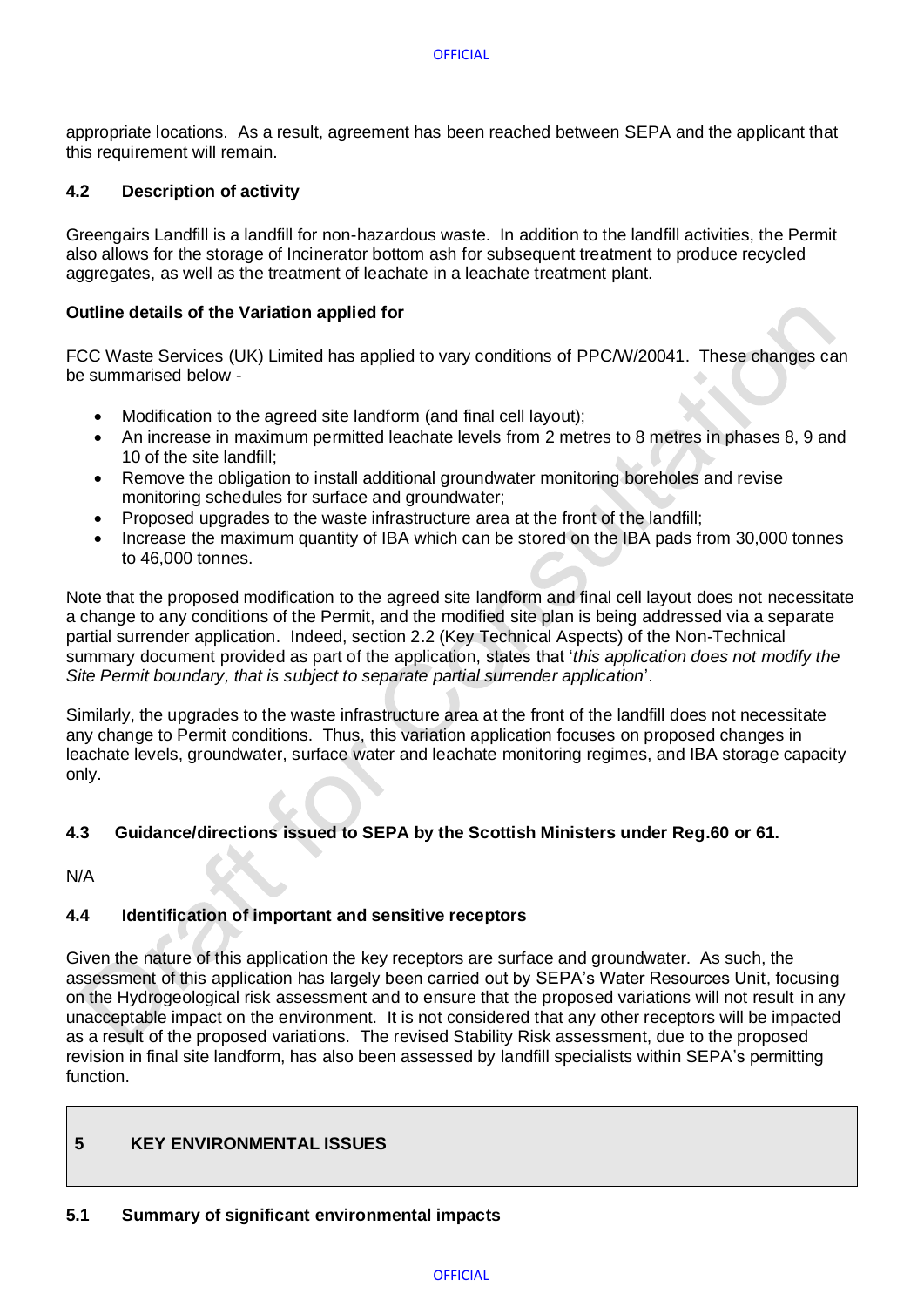appropriate locations. As a result, agreement has been reached between SEPA and the applicant that this requirement will remain.

# <span id="page-5-0"></span>**4.2 Description of activity**

Greengairs Landfill is a landfill for non-hazardous waste. In addition to the landfill activities, the Permit also allows for the storage of Incinerator bottom ash for subsequent treatment to produce recycled aggregates, as well as the treatment of leachate in a leachate treatment plant.

#### <span id="page-5-1"></span>**Outline details of the Variation applied for**

FCC Waste Services (UK) Limited has applied to vary conditions of PPC/W/20041. These changes can be summarised below -

- Modification to the agreed site landform (and final cell layout);
- An increase in maximum permitted leachate levels from 2 metres to 8 metres in phases 8, 9 and 10 of the site landfill;
- Remove the obligation to install additional groundwater monitoring boreholes and revise monitoring schedules for surface and groundwater;
- Proposed upgrades to the waste infrastructure area at the front of the landfill;
- Increase the maximum quantity of IBA which can be stored on the IBA pads from 30,000 tonnes to 46,000 tonnes.

Note that the proposed modification to the agreed site landform and final cell layout does not necessitate a change to any conditions of the Permit, and the modified site plan is being addressed via a separate partial surrender application. Indeed, section 2.2 (Key Technical Aspects) of the Non-Technical summary document provided as part of the application, states that '*this application does not modify the Site Permit boundary, that is subject to separate partial surrender application*'.

Similarly, the upgrades to the waste infrastructure area at the front of the landfill does not necessitate any change to Permit conditions. Thus, this variation application focuses on proposed changes in leachate levels, groundwater, surface water and leachate monitoring regimes, and IBA storage capacity only.

#### <span id="page-5-2"></span>**4.3 Guidance/directions issued to SEPA by the Scottish Ministers under Reg.60 or 61.**

<span id="page-5-3"></span>N/A

# **4.4 Identification of important and sensitive receptors**

Given the nature of this application the key receptors are surface and groundwater. As such, the assessment of this application has largely been carried out by SEPA's Water Resources Unit, focusing on the Hydrogeological risk assessment and to ensure that the proposed variations will not result in any unacceptable impact on the environment. It is not considered that any other receptors will be impacted as a result of the proposed variations. The revised Stability Risk assessment, due to the proposed revision in final site landform, has also been assessed by landfill specialists within SEPA's permitting function.

# <span id="page-5-4"></span>**5 KEY ENVIRONMENTAL ISSUES**

# <span id="page-5-5"></span>**5.1 Summary of significant environmental impacts**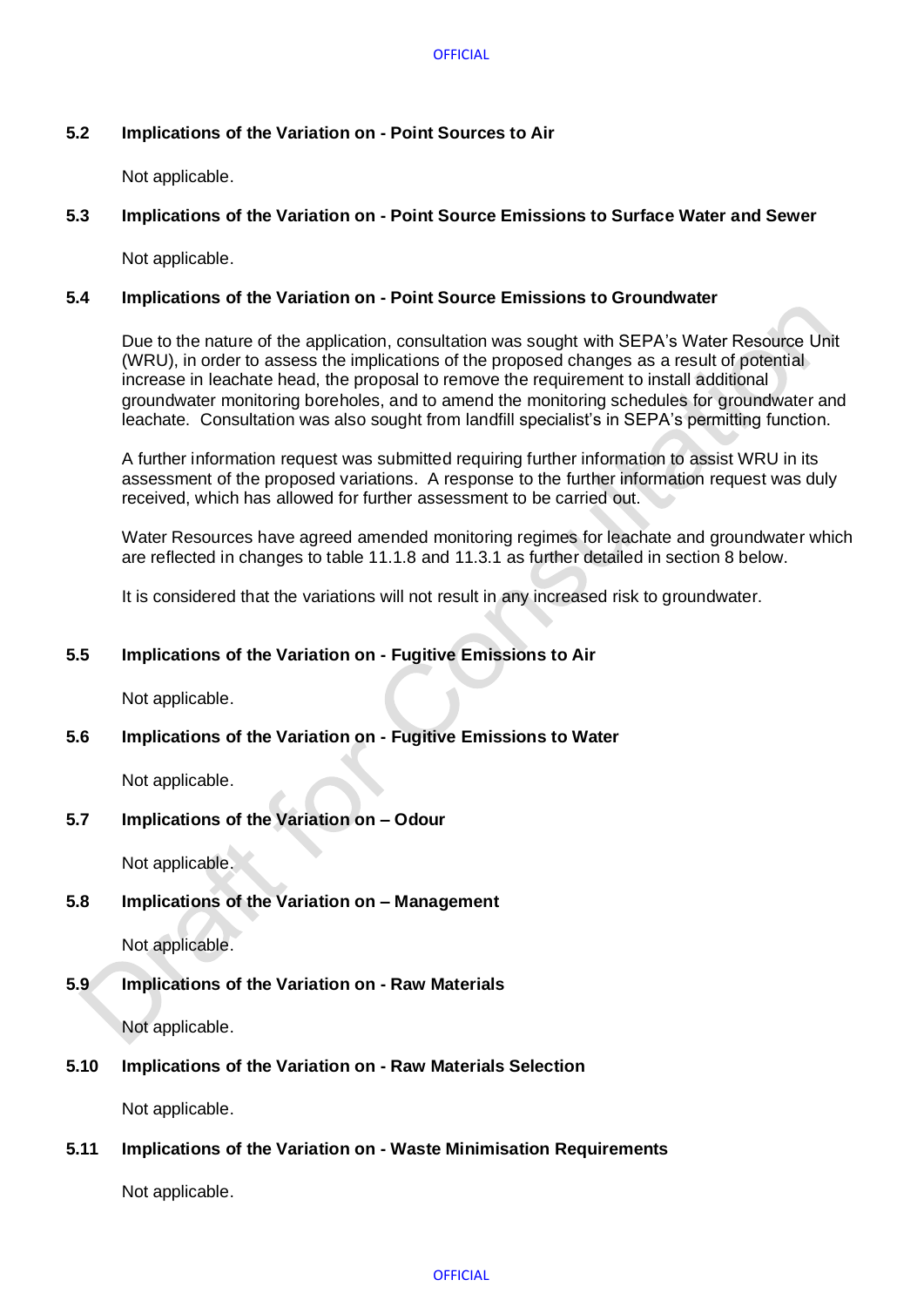#### **OFFICIAL**

# <span id="page-6-0"></span>**5.2 Implications of the Variation on - Point Sources to Air**

Not applicable.

## <span id="page-6-1"></span>**5.3 Implications of the Variation on - Point Source Emissions to Surface Water and Sewer**

Not applicable.

# <span id="page-6-2"></span>**5.4 Implications of the Variation on - Point Source Emissions to Groundwater**

Due to the nature of the application, consultation was sought with SEPA's Water Resource Unit (WRU), in order to assess the implications of the proposed changes as a result of potential increase in leachate head, the proposal to remove the requirement to install additional groundwater monitoring boreholes, and to amend the monitoring schedules for groundwater and leachate. Consultation was also sought from landfill specialist's in SEPA's permitting function.

A further information request was submitted requiring further information to assist WRU in its assessment of the proposed variations. A response to the further information request was duly received, which has allowed for further assessment to be carried out.

Water Resources have agreed amended monitoring regimes for leachate and groundwater which are reflected in changes to table 11.1.8 and 11.3.1 as further detailed in section 8 below.

It is considered that the variations will not result in any increased risk to groundwater.

#### <span id="page-6-3"></span>**5.5 Implications of the Variation on - Fugitive Emissions to Air**

Not applicable.

# <span id="page-6-4"></span>**5.6 Implications of the Variation on - Fugitive Emissions to Water**

Not applicable.

#### <span id="page-6-5"></span>**5.7 Implications of the Variation on – Odour**

Not applicable.

# <span id="page-6-6"></span>**5.8 Implications of the Variation on – Management**

Not applicable.

# <span id="page-6-7"></span>**5.9 Implications of the Variation on - Raw Materials**

Not applicable.

# <span id="page-6-8"></span>**5.10 Implications of the Variation on - Raw Materials Selection**

Not applicable.

# <span id="page-6-9"></span>**5.11 Implications of the Variation on - Waste Minimisation Requirements**

Not applicable.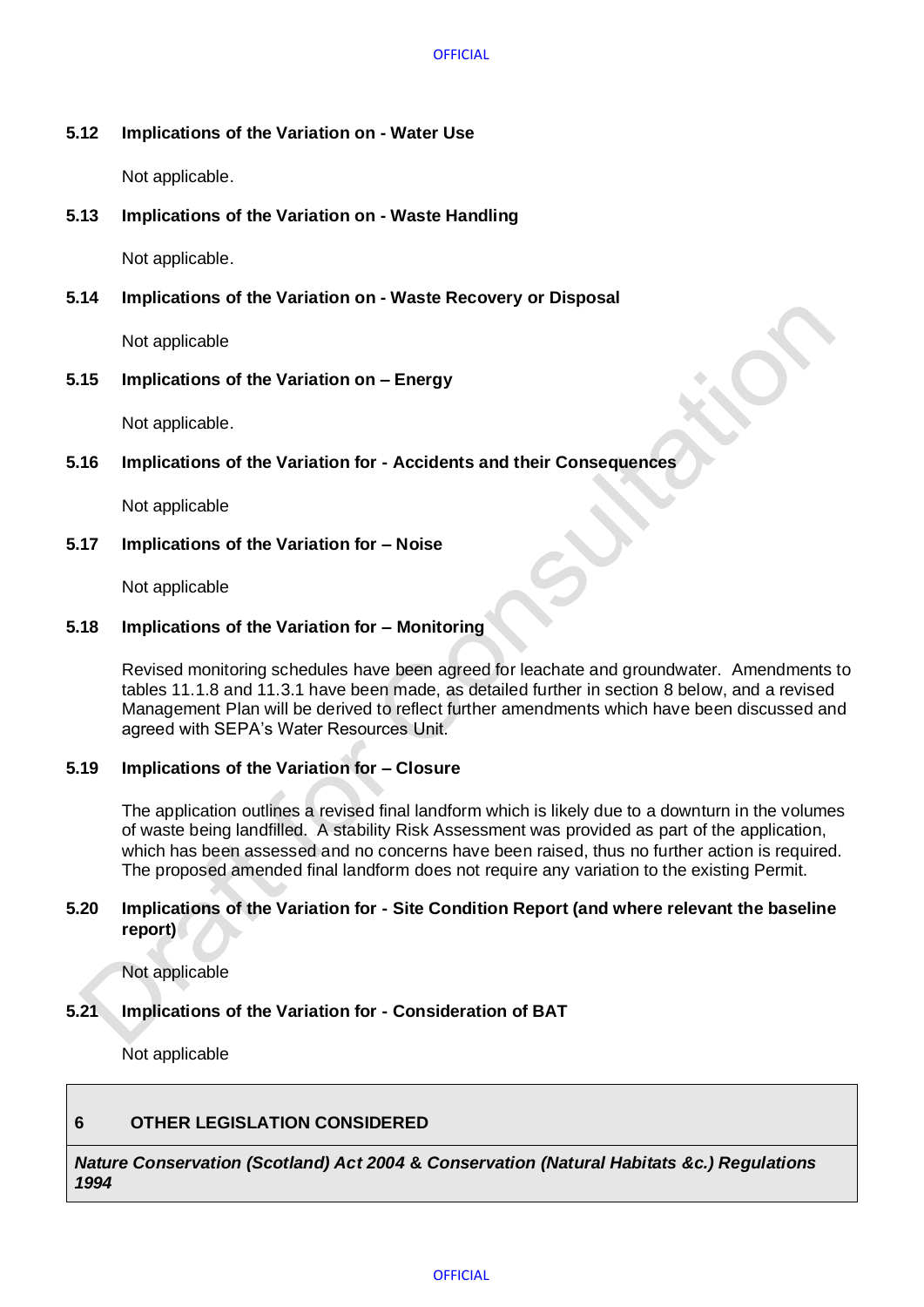#### **OFFICIAL**

# <span id="page-7-0"></span>**5.12 Implications of the Variation on - Water Use**

Not applicable.

<span id="page-7-1"></span>**5.13 Implications of the Variation on - Waste Handling** 

Not applicable.

<span id="page-7-2"></span>**5.14 Implications of the Variation on - Waste Recovery or Disposal**

Not applicable

<span id="page-7-3"></span>**5.15 Implications of the Variation on – Energy**

Not applicable.

# <span id="page-7-4"></span>**5.16 Implications of the Variation for - Accidents and their Consequences**

Not applicable

# <span id="page-7-5"></span>**5.17 Implications of the Variation for – Noise**

Not applicable

# <span id="page-7-6"></span>**5.18 Implications of the Variation for – Monitoring**

Revised monitoring schedules have been agreed for leachate and groundwater. Amendments to tables 11.1.8 and 11.3.1 have been made, as detailed further in section 8 below, and a revised Management Plan will be derived to reflect further amendments which have been discussed and agreed with SEPA's Water Resources Unit.

# <span id="page-7-7"></span>**5.19 Implications of the Variation for – Closure**

The application outlines a revised final landform which is likely due to a downturn in the volumes of waste being landfilled. A stability Risk Assessment was provided as part of the application, which has been assessed and no concerns have been raised, thus no further action is required. The proposed amended final landform does not require any variation to the existing Permit.

# <span id="page-7-8"></span>**5.20 Implications of the Variation for - Site Condition Report (and where relevant the baseline report)**

Not applicable

# <span id="page-7-9"></span>**5.21 Implications of the Variation for - Consideration of BAT**

Not applicable

# <span id="page-7-10"></span>**6 OTHER LEGISLATION CONSIDERED**

*Nature Conservation (Scotland) Act 2004* **&** *Conservation (Natural Habitats &c.) Regulations 1994*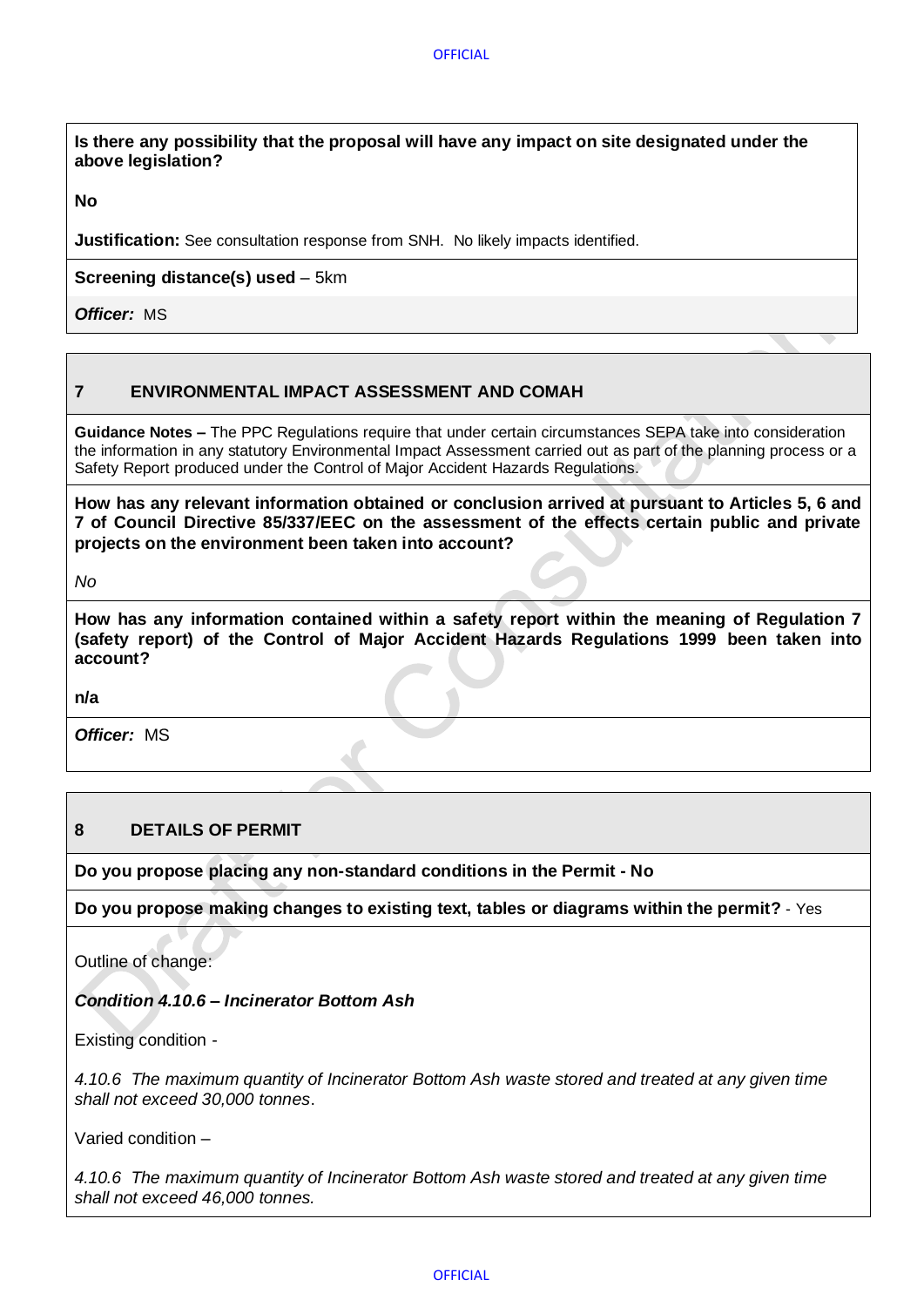**Is there any possibility that the proposal will have any impact on site designated under the above legislation?**

**No**

**Justification:** See consultation response from SNH. No likely impacts identified.

**Screening distance(s) used** – 5km

*Officer:* MS

# <span id="page-8-0"></span>**7 ENVIRONMENTAL IMPACT ASSESSMENT AND COMAH**

**Guidance Notes –** The PPC Regulations require that under certain circumstances SEPA take into consideration the information in any statutory Environmental Impact Assessment carried out as part of the planning process or a Safety Report produced under the Control of Major Accident Hazards Regulations.

**How has any relevant information obtained or conclusion arrived at pursuant to Articles 5, 6 and 7 of Council Directive 85/337/EEC on the assessment of the effects certain public and private projects on the environment been taken into account?** 

*No*

**How has any information contained within a safety report within the meaning of Regulation 7 (safety report) of the Control of Major Accident Hazards Regulations 1999 been taken into account?** 

**n/a**

*Officer:* MS

# <span id="page-8-1"></span>**8 DETAILS OF PERMIT**

**Do you propose placing any non-standard conditions in the Permit - No**

**Do you propose making changes to existing text, tables or diagrams within the permit?** - Yes

Outline of change:

*Condition 4.10.6 – Incinerator Bottom Ash*

Existing condition -

*4.10.6 The maximum quantity of Incinerator Bottom Ash waste stored and treated at any given time shall not exceed 30,000 tonnes*.

Varied condition –

*4.10.6 The maximum quantity of Incinerator Bottom Ash waste stored and treated at any given time shall not exceed 46,000 tonnes.*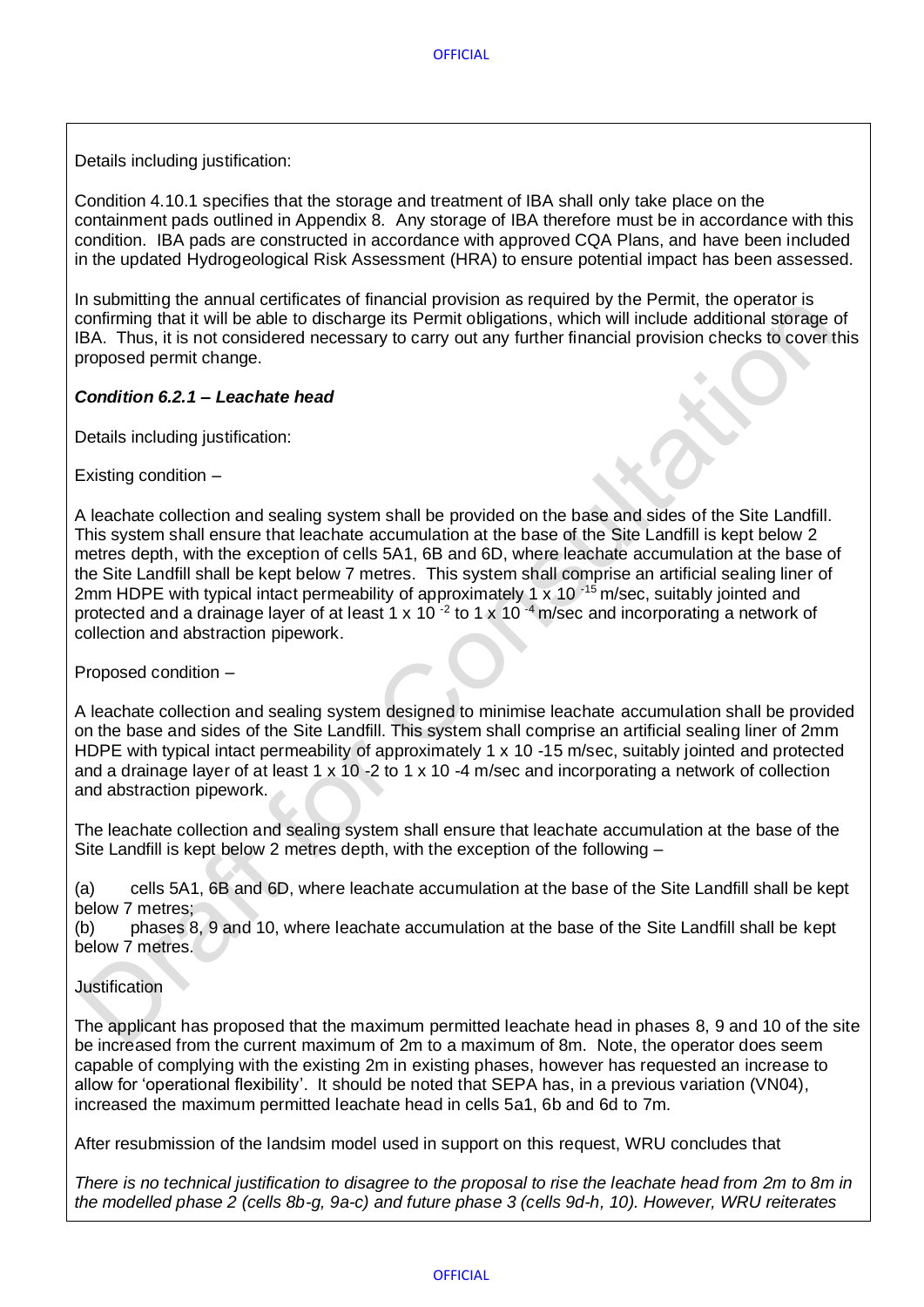Details including justification:

Condition 4.10.1 specifies that the storage and treatment of IBA shall only take place on the containment pads outlined in Appendix 8. Any storage of IBA therefore must be in accordance with this condition. IBA pads are constructed in accordance with approved CQA Plans, and have been included in the updated Hydrogeological Risk Assessment (HRA) to ensure potential impact has been assessed.

In submitting the annual certificates of financial provision as required by the Permit, the operator is confirming that it will be able to discharge its Permit obligations, which will include additional storage of IBA. Thus, it is not considered necessary to carry out any further financial provision checks to cover this proposed permit change.

# *Condition 6.2.1 – Leachate head*

Details including justification:

Existing condition –

A leachate collection and sealing system shall be provided on the base and sides of the Site Landfill. This system shall ensure that leachate accumulation at the base of the Site Landfill is kept below 2 metres depth, with the exception of cells 5A1, 6B and 6D, where leachate accumulation at the base of the Site Landfill shall be kept below 7 metres. This system shall comprise an artificial sealing liner of 2mm HDPE with typical intact permeability of approximately 1 x 10<sup>-15</sup> m/sec, suitably jointed and protected and a drainage layer of at least 1 x 10<sup>-2</sup> to 1 x 10<sup>-4</sup> m/sec and incorporating a network of collection and abstraction pipework.

Proposed condition –

A leachate collection and sealing system designed to minimise leachate accumulation shall be provided on the base and sides of the Site Landfill. This system shall comprise an artificial sealing liner of 2mm HDPE with typical intact permeability of approximately 1 x 10 -15 m/sec, suitably jointed and protected and a drainage layer of at least 1 x 10 -2 to 1 x 10 -4 m/sec and incorporating a network of collection and abstraction pipework.

The leachate collection and sealing system shall ensure that leachate accumulation at the base of the Site Landfill is kept below 2 metres depth, with the exception of the following –

(a) cells 5A1, 6B and 6D, where leachate accumulation at the base of the Site Landfill shall be kept below 7 metres;

(b) phases 8, 9 and 10, where leachate accumulation at the base of the Site Landfill shall be kept below 7 metres.

# **Justification**

The applicant has proposed that the maximum permitted leachate head in phases 8, 9 and 10 of the site be increased from the current maximum of 2m to a maximum of 8m. Note, the operator does seem capable of complying with the existing 2m in existing phases, however has requested an increase to allow for 'operational flexibility'. It should be noted that SEPA has, in a previous variation (VN04), increased the maximum permitted leachate head in cells 5a1, 6b and 6d to 7m.

After resubmission of the landsim model used in support on this request, WRU concludes that

*There is no technical justification to disagree to the proposal to rise the leachate head from 2m to 8m in the modelled phase 2 (cells 8b-g, 9a-c) and future phase 3 (cells 9d-h, 10). However, WRU reiterates*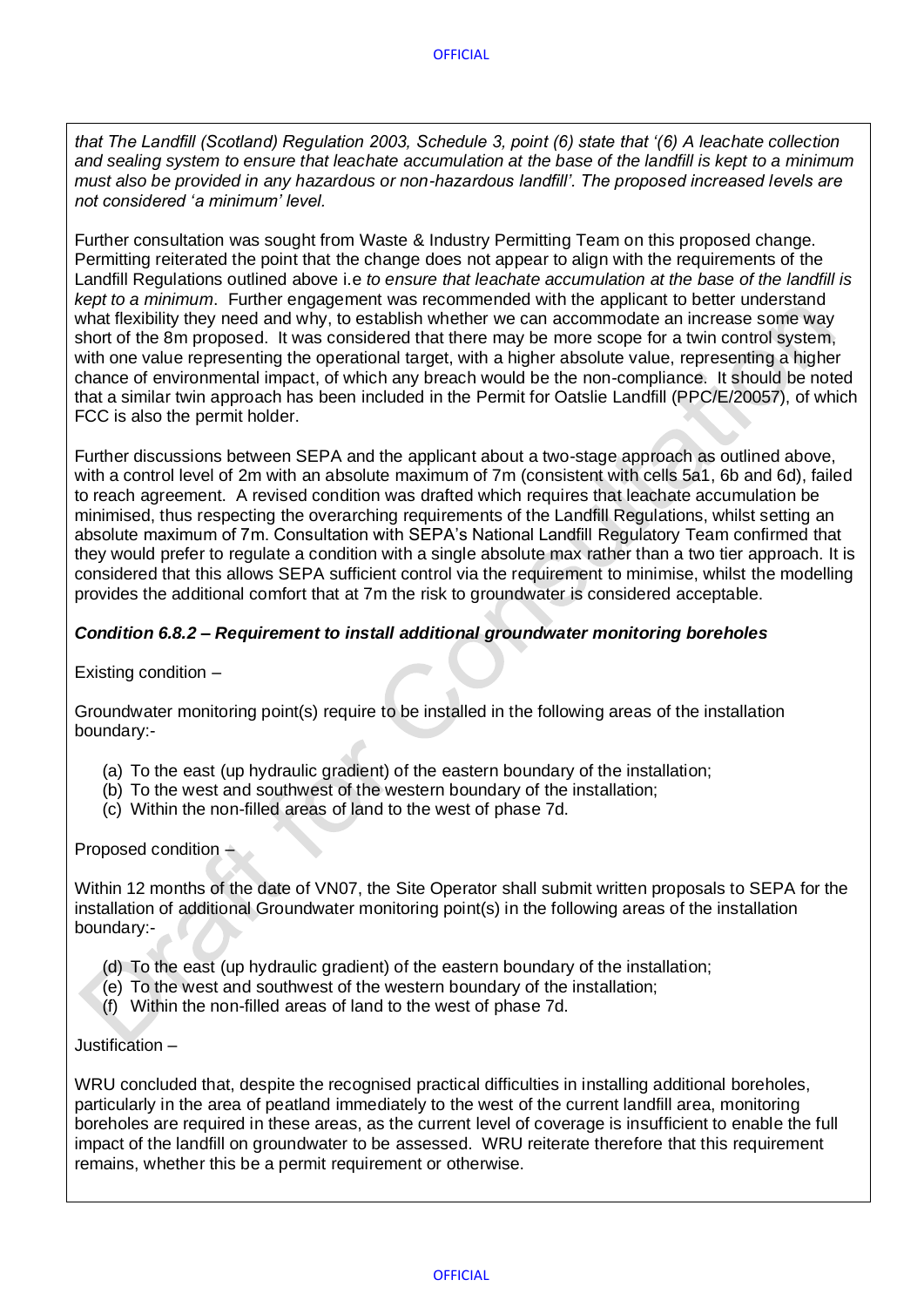*that The Landfill (Scotland) Regulation 2003, Schedule 3, point (6) state that '(6) A leachate collection and sealing system to ensure that leachate accumulation at the base of the landfill is kept to a minimum must also be provided in any hazardous or non-hazardous landfill'. The proposed increased levels are not considered 'a minimum' level.*

Further consultation was sought from Waste & Industry Permitting Team on this proposed change. Permitting reiterated the point that the change does not appear to align with the requirements of the Landfill Regulations outlined above i.e *to ensure that leachate accumulation at the base of the landfill is kept to a minimum*. Further engagement was recommended with the applicant to better understand what flexibility they need and why, to establish whether we can accommodate an increase some way short of the 8m proposed. It was considered that there may be more scope for a twin control system, with one value representing the operational target, with a higher absolute value, representing a higher chance of environmental impact, of which any breach would be the non-compliance. It should be noted that a similar twin approach has been included in the Permit for Oatslie Landfill (PPC/E/20057), of which FCC is also the permit holder.

Further discussions between SEPA and the applicant about a two-stage approach as outlined above, with a control level of 2m with an absolute maximum of 7m (consistent with cells 5a1, 6b and 6d), failed to reach agreement. A revised condition was drafted which requires that leachate accumulation be minimised, thus respecting the overarching requirements of the Landfill Regulations, whilst setting an absolute maximum of 7m. Consultation with SEPA's National Landfill Regulatory Team confirmed that they would prefer to regulate a condition with a single absolute max rather than a two tier approach. It is considered that this allows SEPA sufficient control via the requirement to minimise, whilst the modelling provides the additional comfort that at 7m the risk to groundwater is considered acceptable.

# *Condition 6.8.2 – Requirement to install additional groundwater monitoring boreholes*

Existing condition –

Groundwater monitoring point(s) require to be installed in the following areas of the installation boundary:-

- (a) To the east (up hydraulic gradient) of the eastern boundary of the installation;
- (b) To the west and southwest of the western boundary of the installation;
- (c) Within the non-filled areas of land to the west of phase 7d.

Proposed condition –

Within 12 months of the date of VN07, the Site Operator shall submit written proposals to SEPA for the installation of additional Groundwater monitoring point(s) in the following areas of the installation boundary:-

- (d) To the east (up hydraulic gradient) of the eastern boundary of the installation;
- (e) To the west and southwest of the western boundary of the installation;
- (f) Within the non-filled areas of land to the west of phase 7d.

Justification –

WRU concluded that, despite the recognised practical difficulties in installing additional boreholes, particularly in the area of peatland immediately to the west of the current landfill area, monitoring boreholes are required in these areas, as the current level of coverage is insufficient to enable the full impact of the landfill on groundwater to be assessed. WRU reiterate therefore that this requirement remains, whether this be a permit requirement or otherwise.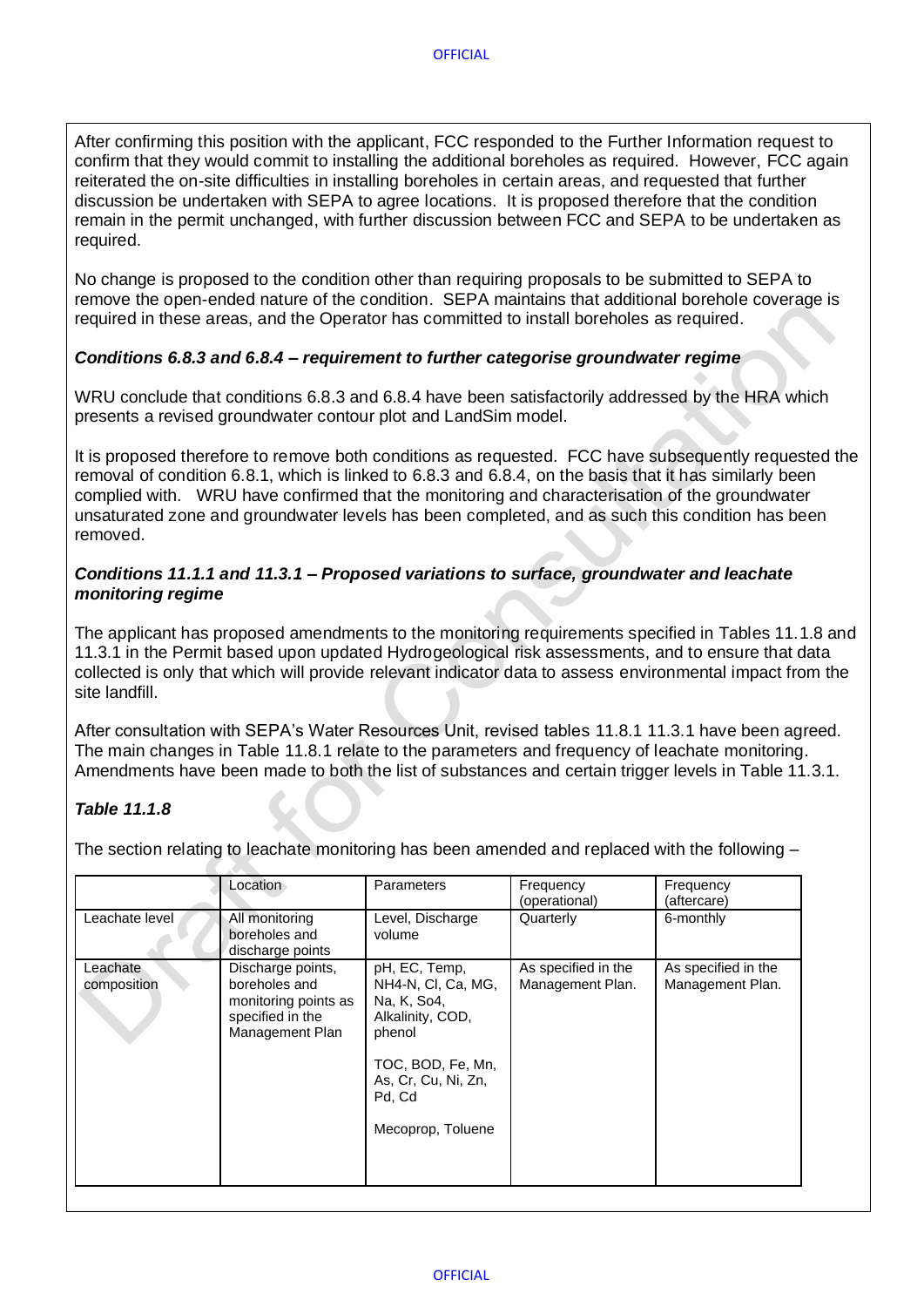After confirming this position with the applicant, FCC responded to the Further Information request to confirm that they would commit to installing the additional boreholes as required. However, FCC again reiterated the on-site difficulties in installing boreholes in certain areas, and requested that further discussion be undertaken with SEPA to agree locations. It is proposed therefore that the condition remain in the permit unchanged, with further discussion between FCC and SEPA to be undertaken as required.

No change is proposed to the condition other than requiring proposals to be submitted to SEPA to remove the open-ended nature of the condition. SEPA maintains that additional borehole coverage is required in these areas, and the Operator has committed to install boreholes as required.

# *Conditions 6.8.3 and 6.8.4 – requirement to further categorise groundwater regime*

WRU conclude that conditions 6.8.3 and 6.8.4 have been satisfactorily addressed by the HRA which presents a revised groundwater contour plot and LandSim model.

It is proposed therefore to remove both conditions as requested. FCC have subsequently requested the removal of condition 6.8.1, which is linked to 6.8.3 and 6.8.4, on the basis that it has similarly been complied with. WRU have confirmed that the monitoring and characterisation of the groundwater unsaturated zone and groundwater levels has been completed, and as such this condition has been removed.

## *Conditions 11.1.1 and 11.3.1 – Proposed variations to surface, groundwater and leachate monitoring regime*

The applicant has proposed amendments to the monitoring requirements specified in Tables 11.1.8 and 11.3.1 in the Permit based upon updated Hydrogeological risk assessments, and to ensure that data collected is only that which will provide relevant indicator data to assess environmental impact from the site landfill.

After consultation with SEPA's Water Resources Unit, revised tables 11.8.1 11.3.1 have been agreed. The main changes in Table 11.8.1 relate to the parameters and frequency of leachate monitoring. Amendments have been made to both the list of substances and certain trigger levels in Table 11.3.1.

# *Table 11.1.8*

The section relating to leachate monitoring has been amended and replaced with the following –

|                         | Location                                                                                          | <b>Parameters</b>                                                                                                                                           | Frequency<br>(operational)              | Frequency<br>(aftercare)                |
|-------------------------|---------------------------------------------------------------------------------------------------|-------------------------------------------------------------------------------------------------------------------------------------------------------------|-----------------------------------------|-----------------------------------------|
| Leachate level          | All monitoring<br>boreholes and<br>discharge points                                               | Level, Discharge<br>volume                                                                                                                                  | Quarterly                               | 6-monthly                               |
| Leachate<br>composition | Discharge points,<br>boreholes and<br>monitoring points as<br>specified in the<br>Management Plan | pH, EC, Temp,<br>NH4-N, Cl, Ca, MG,<br>Na, K, So4,<br>Alkalinity, COD,<br>phenol<br>TOC, BOD, Fe, Mn,<br>As, Cr, Cu, Ni, Zn,<br>Pd, Cd<br>Mecoprop, Toluene | As specified in the<br>Management Plan. | As specified in the<br>Management Plan. |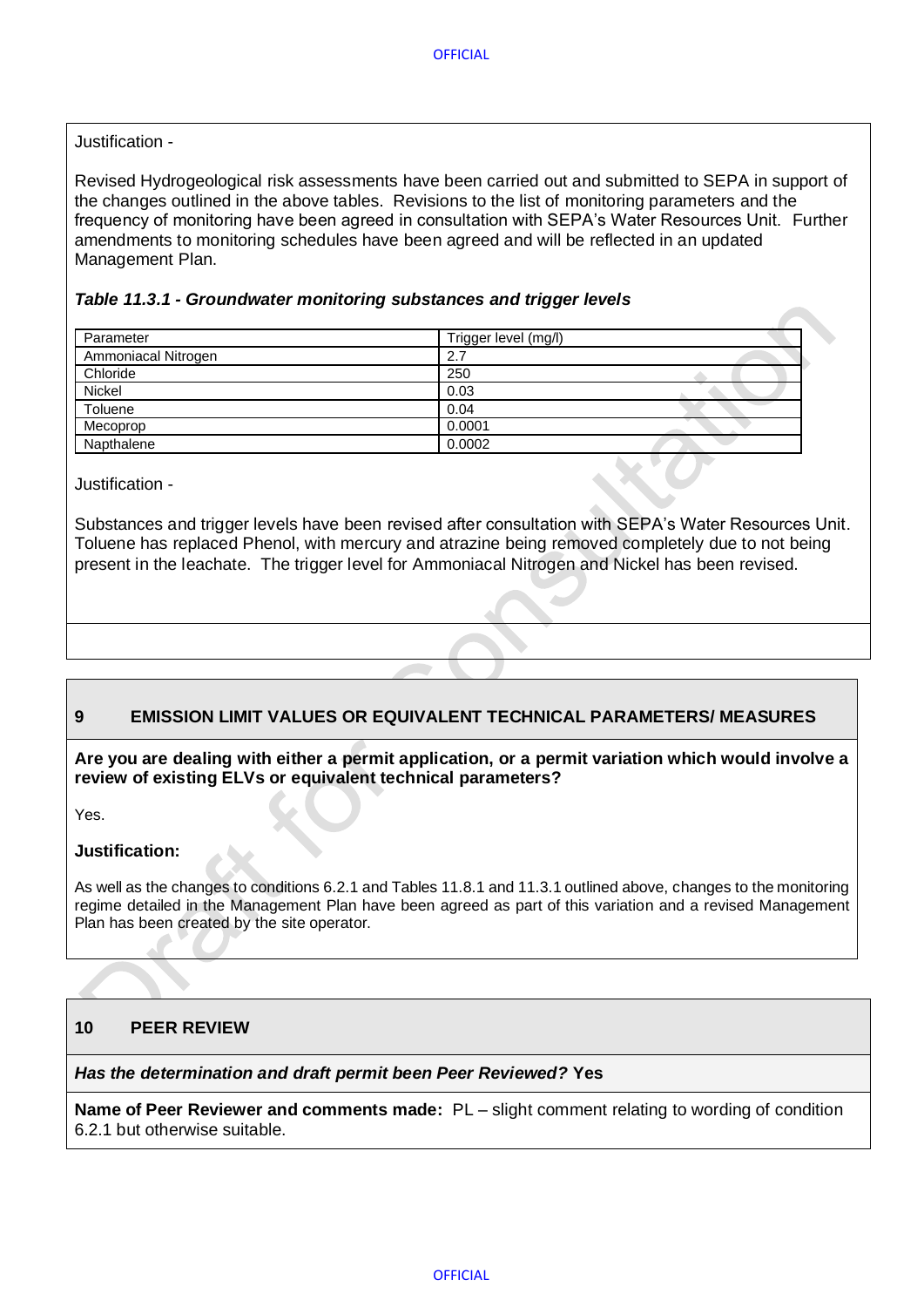# Justification -

Revised Hydrogeological risk assessments have been carried out and submitted to SEPA in support of the changes outlined in the above tables. Revisions to the list of monitoring parameters and the frequency of monitoring have been agreed in consultation with SEPA's Water Resources Unit. Further amendments to monitoring schedules have been agreed and will be reflected in an updated Management Plan.

# *Table 11.3.1 - Groundwater monitoring substances and trigger levels*

| Parameter           | Trigger level (mg/l) |
|---------------------|----------------------|
| Ammoniacal Nitrogen | 2.7                  |
| Chloride            | 250                  |
| Nickel              | 0.03                 |
| Toluene             | 0.04                 |
| Mecoprop            | 0.0001               |
| Napthalene          | 0.0002               |

Justification -

Substances and trigger levels have been revised after consultation with SEPA's Water Resources Unit. Toluene has replaced Phenol, with mercury and atrazine being removed completely due to not being present in the leachate. The trigger level for Ammoniacal Nitrogen and Nickel has been revised.

# <span id="page-12-0"></span>**9 EMISSION LIMIT VALUES OR EQUIVALENT TECHNICAL PARAMETERS/ MEASURES**

**Are you are dealing with either a permit application, or a permit variation which would involve a review of existing ELVs or equivalent technical parameters?** 

Yes.

# **Justification:**

As well as the changes to conditions 6.2.1 and Tables 11.8.1 and 11.3.1 outlined above, changes to the monitoring regime detailed in the Management Plan have been agreed as part of this variation and a revised Management Plan has been created by the site operator.

# **10 PEER REVIEW**

#### *Has the determination and draft permit been Peer Reviewed?* **Yes**

**Name of Peer Reviewer and comments made:** PL – slight comment relating to wording of condition 6.2.1 but otherwise suitable.